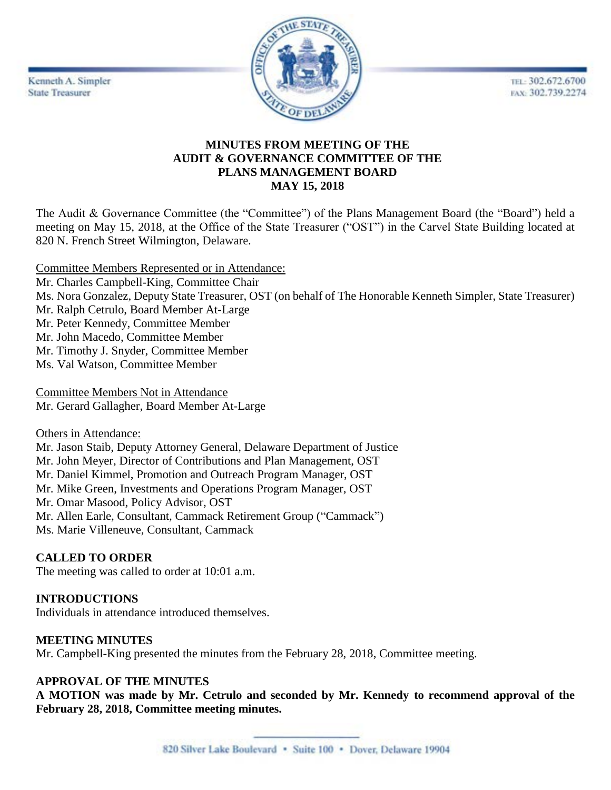Kenneth A. Simpler **State Treasurer** 



TEL: 302.672.6700 FAX: 302.739.2274

#### **MINUTES FROM MEETING OF THE AUDIT & GOVERNANCE COMMITTEE OF THE PLANS MANAGEMENT BOARD MAY 15, 2018**

The Audit & Governance Committee (the "Committee") of the Plans Management Board (the "Board") held a meeting on May 15, 2018, at the Office of the State Treasurer ("OST") in the Carvel State Building located at 820 N. French Street Wilmington, Delaware.

Committee Members Represented or in Attendance:

- Mr. Charles Campbell-King, Committee Chair
- Ms. Nora Gonzalez, Deputy State Treasurer, OST (on behalf of The Honorable Kenneth Simpler, State Treasurer)
- Mr. Ralph Cetrulo, Board Member At-Large
- Mr. Peter Kennedy, Committee Member
- Mr. John Macedo, Committee Member
- Mr. Timothy J. Snyder, Committee Member
- Ms. Val Watson, Committee Member

Committee Members Not in Attendance Mr. Gerard Gallagher, Board Member At-Large

Others in Attendance:

Mr. Jason Staib, Deputy Attorney General, Delaware Department of Justice

Mr. John Meyer, Director of Contributions and Plan Management, OST

Mr. Daniel Kimmel, Promotion and Outreach Program Manager, OST

Mr. Mike Green, Investments and Operations Program Manager, OST

Mr. Omar Masood, Policy Advisor, OST

Mr. Allen Earle, Consultant, Cammack Retirement Group ("Cammack")

Ms. Marie Villeneuve, Consultant, Cammack

#### **CALLED TO ORDER**

The meeting was called to order at 10:01 a.m.

#### **INTRODUCTIONS**

Individuals in attendance introduced themselves.

#### **MEETING MINUTES**

Mr. Campbell-King presented the minutes from the February 28, 2018, Committee meeting.

#### **APPROVAL OF THE MINUTES**

**A MOTION was made by Mr. Cetrulo and seconded by Mr. Kennedy to recommend approval of the February 28, 2018, Committee meeting minutes.**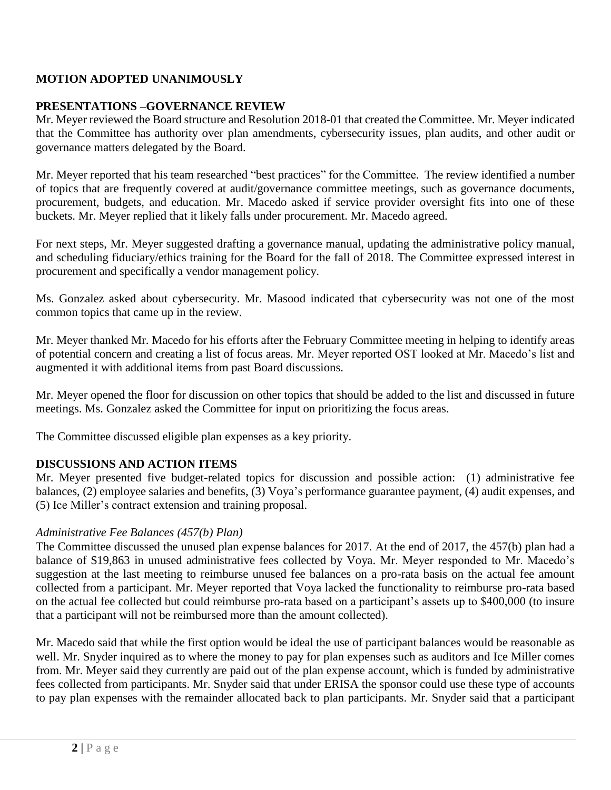#### **MOTION ADOPTED UNANIMOUSLY**

#### **PRESENTATIONS –GOVERNANCE REVIEW**

Mr. Meyer reviewed the Board structure and Resolution 2018-01 that created the Committee. Mr. Meyer indicated that the Committee has authority over plan amendments, cybersecurity issues, plan audits, and other audit or governance matters delegated by the Board.

Mr. Meyer reported that his team researched "best practices" for the Committee. The review identified a number of topics that are frequently covered at audit/governance committee meetings, such as governance documents, procurement, budgets, and education. Mr. Macedo asked if service provider oversight fits into one of these buckets. Mr. Meyer replied that it likely falls under procurement. Mr. Macedo agreed.

For next steps, Mr. Meyer suggested drafting a governance manual, updating the administrative policy manual, and scheduling fiduciary/ethics training for the Board for the fall of 2018. The Committee expressed interest in procurement and specifically a vendor management policy.

Ms. Gonzalez asked about cybersecurity. Mr. Masood indicated that cybersecurity was not one of the most common topics that came up in the review.

Mr. Meyer thanked Mr. Macedo for his efforts after the February Committee meeting in helping to identify areas of potential concern and creating a list of focus areas. Mr. Meyer reported OST looked at Mr. Macedo's list and augmented it with additional items from past Board discussions.

Mr. Meyer opened the floor for discussion on other topics that should be added to the list and discussed in future meetings. Ms. Gonzalez asked the Committee for input on prioritizing the focus areas.

The Committee discussed eligible plan expenses as a key priority.

#### **DISCUSSIONS AND ACTION ITEMS**

Mr. Meyer presented five budget-related topics for discussion and possible action: (1) administrative fee balances, (2) employee salaries and benefits, (3) Voya's performance guarantee payment, (4) audit expenses, and (5) Ice Miller's contract extension and training proposal.

#### *Administrative Fee Balances (457(b) Plan)*

The Committee discussed the unused plan expense balances for 2017. At the end of 2017, the 457(b) plan had a balance of \$19,863 in unused administrative fees collected by Voya. Mr. Meyer responded to Mr. Macedo's suggestion at the last meeting to reimburse unused fee balances on a pro-rata basis on the actual fee amount collected from a participant. Mr. Meyer reported that Voya lacked the functionality to reimburse pro-rata based on the actual fee collected but could reimburse pro-rata based on a participant's assets up to \$400,000 (to insure that a participant will not be reimbursed more than the amount collected).

Mr. Macedo said that while the first option would be ideal the use of participant balances would be reasonable as well. Mr. Snyder inquired as to where the money to pay for plan expenses such as auditors and Ice Miller comes from. Mr. Meyer said they currently are paid out of the plan expense account, which is funded by administrative fees collected from participants. Mr. Snyder said that under ERISA the sponsor could use these type of accounts to pay plan expenses with the remainder allocated back to plan participants. Mr. Snyder said that a participant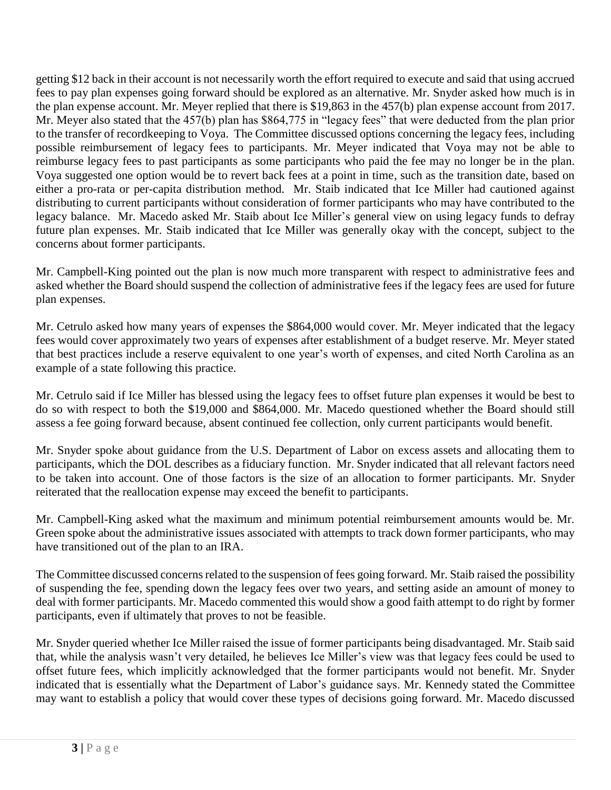getting \$12 back in their account is not necessarily worth the effort required to execute and said that using accrued fees to pay plan expenses going forward should be explored as an alternative. Mr. Snyder asked how much is in the plan expense account. Mr. Meyer replied that there is \$19,863 in the 457(b) plan expense account from 2017. Mr. Meyer also stated that the 457(b) plan has \$864,775 in "legacy fees" that were deducted from the plan prior to the transfer of recordkeeping to Voya. The Committee discussed options concerning the legacy fees, including possible reimbursement of legacy fees to participants. Mr. Meyer indicated that Voya may not be able to reimburse legacy fees to past participants as some participants who paid the fee may no longer be in the plan. Voya suggested one option would be to revert back fees at a point in time, such as the transition date, based on either a pro-rata or per-capita distribution method. Mr. Staib indicated that Ice Miller had cautioned against distributing to current participants without consideration of former participants who may have contributed to the legacy balance. Mr. Macedo asked Mr. Staib about Ice Miller's general view on using legacy funds to defray future plan expenses. Mr. Staib indicated that Ice Miller was generally okay with the concept, subject to the concerns about former participants.

Mr. Campbell-King pointed out the plan is now much more transparent with respect to administrative fees and asked whether the Board should suspend the collection of administrative fees if the legacy fees are used for future plan expenses.

Mr. Cetrulo asked how many years of expenses the \$864,000 would cover. Mr. Meyer indicated that the legacy fees would cover approximately two years of expenses after establishment of a budget reserve. Mr. Meyer stated that best practices include a reserve equivalent to one year's worth of expenses, and cited North Carolina as an example of a state following this practice.

Mr. Cetrulo said if Ice Miller has blessed using the legacy fees to offset future plan expenses it would be best to do so with respect to both the \$19,000 and \$864,000. Mr. Macedo questioned whether the Board should still assess a fee going forward because, absent continued fee collection, only current participants would benefit.

Mr. Snyder spoke about guidance from the U.S. Department of Labor on excess assets and allocating them to participants, which the DOL describes as a fiduciary function. Mr. Snyder indicated that all relevant factors need to be taken into account. One of those factors is the size of an allocation to former participants. Mr. Snyder reiterated that the reallocation expense may exceed the benefit to participants.

Mr. Campbell-King asked what the maximum and minimum potential reimbursement amounts would be. Mr. Green spoke about the administrative issues associated with attempts to track down former participants, who may have transitioned out of the plan to an IRA.

The Committee discussed concerns related to the suspension of fees going forward. Mr. Staib raised the possibility of suspending the fee, spending down the legacy fees over two years, and setting aside an amount of money to deal with former participants. Mr. Macedo commented this would show a good faith attempt to do right by former participants, even if ultimately that proves to not be feasible.

Mr. Snyder queried whether Ice Miller raised the issue of former participants being disadvantaged. Mr. Staib said that, while the analysis wasn't very detailed, he believes Ice Miller's view was that legacy fees could be used to offset future fees, which implicitly acknowledged that the former participants would not benefit. Mr. Snyder indicated that is essentially what the Department of Labor's guidance says. Mr. Kennedy stated the Committee may want to establish a policy that would cover these types of decisions going forward. Mr. Macedo discussed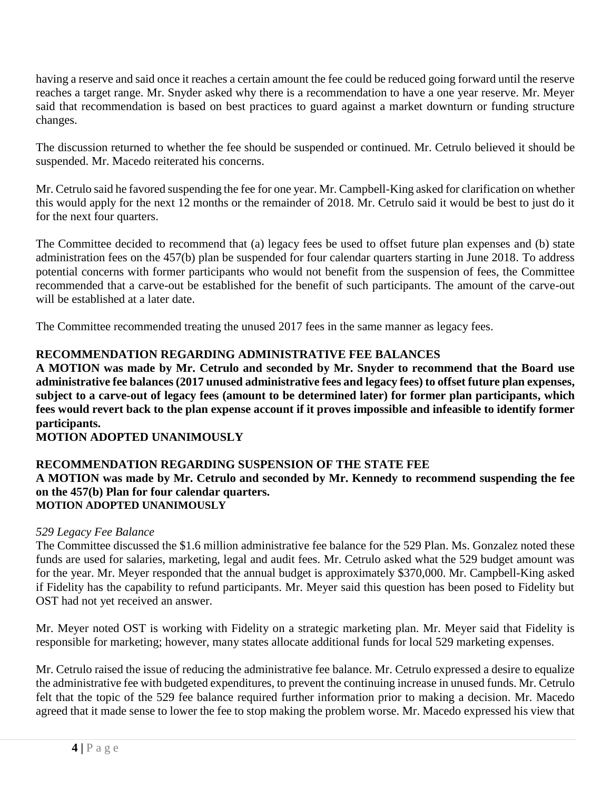having a reserve and said once it reaches a certain amount the fee could be reduced going forward until the reserve reaches a target range. Mr. Snyder asked why there is a recommendation to have a one year reserve. Mr. Meyer said that recommendation is based on best practices to guard against a market downturn or funding structure changes.

The discussion returned to whether the fee should be suspended or continued. Mr. Cetrulo believed it should be suspended. Mr. Macedo reiterated his concerns.

Mr. Cetrulo said he favored suspending the fee for one year. Mr. Campbell-King asked for clarification on whether this would apply for the next 12 months or the remainder of 2018. Mr. Cetrulo said it would be best to just do it for the next four quarters.

The Committee decided to recommend that (a) legacy fees be used to offset future plan expenses and (b) state administration fees on the 457(b) plan be suspended for four calendar quarters starting in June 2018. To address potential concerns with former participants who would not benefit from the suspension of fees, the Committee recommended that a carve-out be established for the benefit of such participants. The amount of the carve-out will be established at a later date.

The Committee recommended treating the unused 2017 fees in the same manner as legacy fees.

### **RECOMMENDATION REGARDING ADMINISTRATIVE FEE BALANCES**

**A MOTION was made by Mr. Cetrulo and seconded by Mr. Snyder to recommend that the Board use administrative fee balances (2017 unused administrative fees and legacy fees) to offset future plan expenses, subject to a carve-out of legacy fees (amount to be determined later) for former plan participants, which fees would revert back to the plan expense account if it proves impossible and infeasible to identify former participants.**

**MOTION ADOPTED UNANIMOUSLY**

#### **RECOMMENDATION REGARDING SUSPENSION OF THE STATE FEE**

#### **A MOTION was made by Mr. Cetrulo and seconded by Mr. Kennedy to recommend suspending the fee on the 457(b) Plan for four calendar quarters. MOTION ADOPTED UNANIMOUSLY**

#### *529 Legacy Fee Balance*

The Committee discussed the \$1.6 million administrative fee balance for the 529 Plan. Ms. Gonzalez noted these funds are used for salaries, marketing, legal and audit fees. Mr. Cetrulo asked what the 529 budget amount was for the year. Mr. Meyer responded that the annual budget is approximately \$370,000. Mr. Campbell-King asked if Fidelity has the capability to refund participants. Mr. Meyer said this question has been posed to Fidelity but OST had not yet received an answer.

Mr. Meyer noted OST is working with Fidelity on a strategic marketing plan. Mr. Meyer said that Fidelity is responsible for marketing; however, many states allocate additional funds for local 529 marketing expenses.

Mr. Cetrulo raised the issue of reducing the administrative fee balance. Mr. Cetrulo expressed a desire to equalize the administrative fee with budgeted expenditures, to prevent the continuing increase in unused funds. Mr. Cetrulo felt that the topic of the 529 fee balance required further information prior to making a decision. Mr. Macedo agreed that it made sense to lower the fee to stop making the problem worse. Mr. Macedo expressed his view that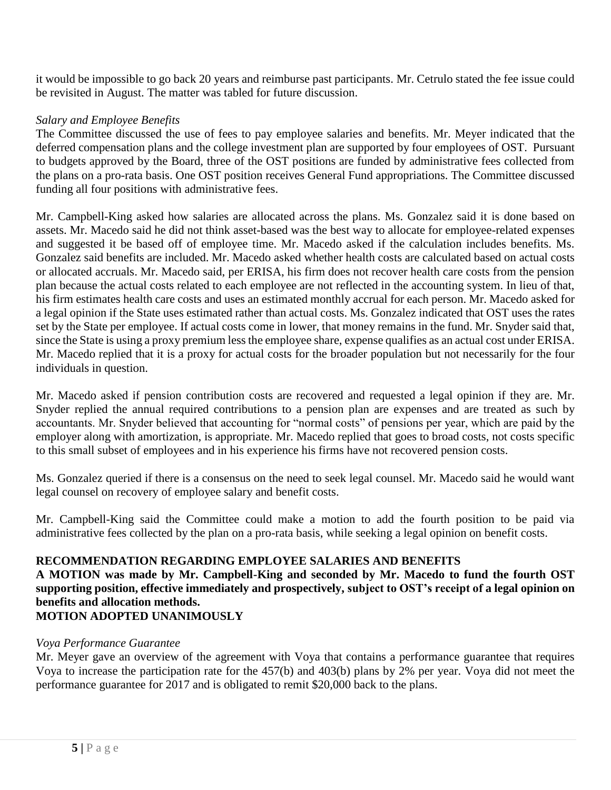it would be impossible to go back 20 years and reimburse past participants. Mr. Cetrulo stated the fee issue could be revisited in August. The matter was tabled for future discussion.

#### *Salary and Employee Benefits*

The Committee discussed the use of fees to pay employee salaries and benefits. Mr. Meyer indicated that the deferred compensation plans and the college investment plan are supported by four employees of OST. Pursuant to budgets approved by the Board, three of the OST positions are funded by administrative fees collected from the plans on a pro-rata basis. One OST position receives General Fund appropriations. The Committee discussed funding all four positions with administrative fees.

Mr. Campbell-King asked how salaries are allocated across the plans. Ms. Gonzalez said it is done based on assets. Mr. Macedo said he did not think asset-based was the best way to allocate for employee-related expenses and suggested it be based off of employee time. Mr. Macedo asked if the calculation includes benefits. Ms. Gonzalez said benefits are included. Mr. Macedo asked whether health costs are calculated based on actual costs or allocated accruals. Mr. Macedo said, per ERISA, his firm does not recover health care costs from the pension plan because the actual costs related to each employee are not reflected in the accounting system. In lieu of that, his firm estimates health care costs and uses an estimated monthly accrual for each person. Mr. Macedo asked for a legal opinion if the State uses estimated rather than actual costs. Ms. Gonzalez indicated that OST uses the rates set by the State per employee. If actual costs come in lower, that money remains in the fund. Mr. Snyder said that, since the State is using a proxy premium less the employee share, expense qualifies as an actual cost under ERISA. Mr. Macedo replied that it is a proxy for actual costs for the broader population but not necessarily for the four individuals in question.

Mr. Macedo asked if pension contribution costs are recovered and requested a legal opinion if they are. Mr. Snyder replied the annual required contributions to a pension plan are expenses and are treated as such by accountants. Mr. Snyder believed that accounting for "normal costs" of pensions per year, which are paid by the employer along with amortization, is appropriate. Mr. Macedo replied that goes to broad costs, not costs specific to this small subset of employees and in his experience his firms have not recovered pension costs.

Ms. Gonzalez queried if there is a consensus on the need to seek legal counsel. Mr. Macedo said he would want legal counsel on recovery of employee salary and benefit costs.

Mr. Campbell-King said the Committee could make a motion to add the fourth position to be paid via administrative fees collected by the plan on a pro-rata basis, while seeking a legal opinion on benefit costs.

#### **RECOMMENDATION REGARDING EMPLOYEE SALARIES AND BENEFITS**

#### **A MOTION was made by Mr. Campbell-King and seconded by Mr. Macedo to fund the fourth OST supporting position, effective immediately and prospectively, subject to OST's receipt of a legal opinion on benefits and allocation methods. MOTION ADOPTED UNANIMOUSLY**

# *Voya Performance Guarantee*

Mr. Meyer gave an overview of the agreement with Voya that contains a performance guarantee that requires Voya to increase the participation rate for the 457(b) and 403(b) plans by 2% per year. Voya did not meet the performance guarantee for 2017 and is obligated to remit \$20,000 back to the plans.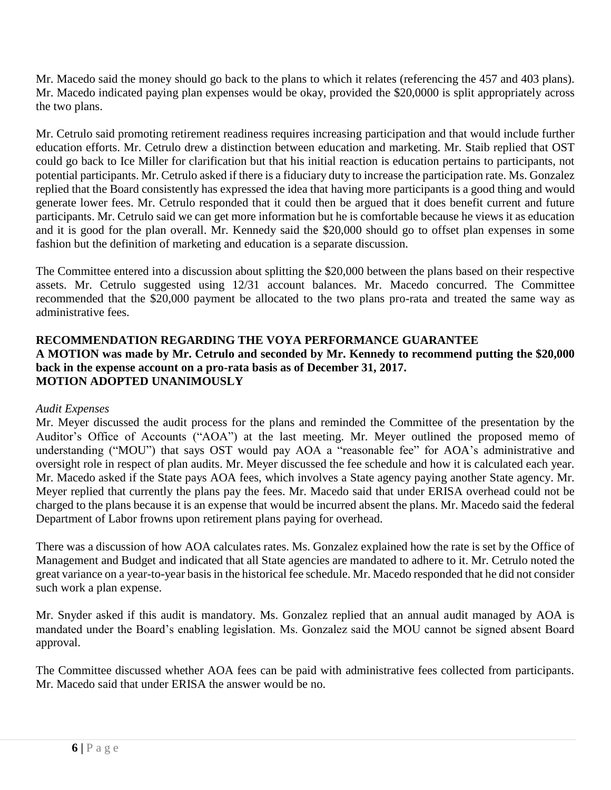Mr. Macedo said the money should go back to the plans to which it relates (referencing the 457 and 403 plans). Mr. Macedo indicated paying plan expenses would be okay, provided the \$20,0000 is split appropriately across the two plans.

Mr. Cetrulo said promoting retirement readiness requires increasing participation and that would include further education efforts. Mr. Cetrulo drew a distinction between education and marketing. Mr. Staib replied that OST could go back to Ice Miller for clarification but that his initial reaction is education pertains to participants, not potential participants. Mr. Cetrulo asked if there is a fiduciary duty to increase the participation rate. Ms. Gonzalez replied that the Board consistently has expressed the idea that having more participants is a good thing and would generate lower fees. Mr. Cetrulo responded that it could then be argued that it does benefit current and future participants. Mr. Cetrulo said we can get more information but he is comfortable because he views it as education and it is good for the plan overall. Mr. Kennedy said the \$20,000 should go to offset plan expenses in some fashion but the definition of marketing and education is a separate discussion.

The Committee entered into a discussion about splitting the \$20,000 between the plans based on their respective assets. Mr. Cetrulo suggested using 12/31 account balances. Mr. Macedo concurred. The Committee recommended that the \$20,000 payment be allocated to the two plans pro-rata and treated the same way as administrative fees.

## **RECOMMENDATION REGARDING THE VOYA PERFORMANCE GUARANTEE**

#### **A MOTION was made by Mr. Cetrulo and seconded by Mr. Kennedy to recommend putting the \$20,000 back in the expense account on a pro-rata basis as of December 31, 2017. MOTION ADOPTED UNANIMOUSLY**

#### *Audit Expenses*

Mr. Meyer discussed the audit process for the plans and reminded the Committee of the presentation by the Auditor's Office of Accounts ("AOA") at the last meeting. Mr. Meyer outlined the proposed memo of understanding ("MOU") that says OST would pay AOA a "reasonable fee" for AOA's administrative and oversight role in respect of plan audits. Mr. Meyer discussed the fee schedule and how it is calculated each year. Mr. Macedo asked if the State pays AOA fees, which involves a State agency paying another State agency. Mr. Meyer replied that currently the plans pay the fees. Mr. Macedo said that under ERISA overhead could not be charged to the plans because it is an expense that would be incurred absent the plans. Mr. Macedo said the federal Department of Labor frowns upon retirement plans paying for overhead.

There was a discussion of how AOA calculates rates. Ms. Gonzalez explained how the rate is set by the Office of Management and Budget and indicated that all State agencies are mandated to adhere to it. Mr. Cetrulo noted the great variance on a year-to-year basis in the historical fee schedule. Mr. Macedo responded that he did not consider such work a plan expense.

Mr. Snyder asked if this audit is mandatory. Ms. Gonzalez replied that an annual audit managed by AOA is mandated under the Board's enabling legislation. Ms. Gonzalez said the MOU cannot be signed absent Board approval.

The Committee discussed whether AOA fees can be paid with administrative fees collected from participants. Mr. Macedo said that under ERISA the answer would be no.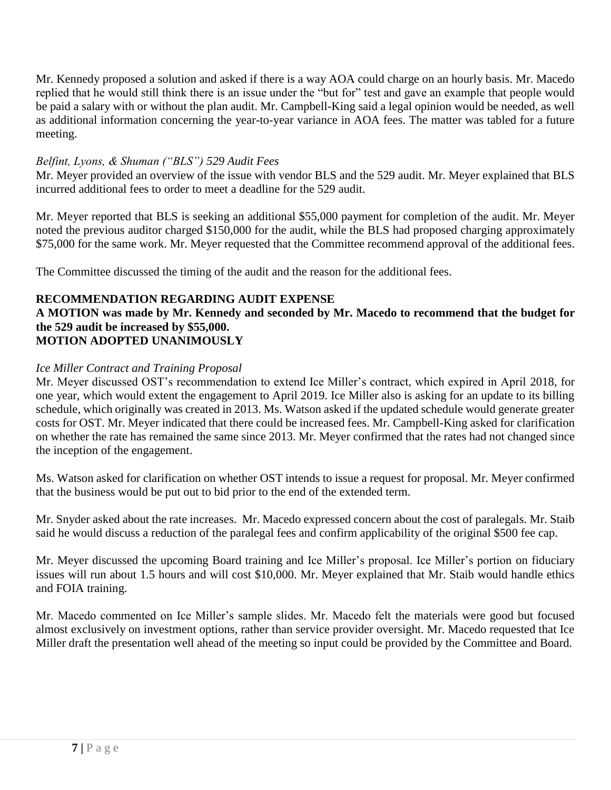Mr. Kennedy proposed a solution and asked if there is a way AOA could charge on an hourly basis. Mr. Macedo replied that he would still think there is an issue under the "but for" test and gave an example that people would be paid a salary with or without the plan audit. Mr. Campbell-King said a legal opinion would be needed, as well as additional information concerning the year-to-year variance in AOA fees. The matter was tabled for a future meeting.

#### *Belfint, Lyons, & Shuman ("BLS") 529 Audit Fees*

Mr. Meyer provided an overview of the issue with vendor BLS and the 529 audit. Mr. Meyer explained that BLS incurred additional fees to order to meet a deadline for the 529 audit.

Mr. Meyer reported that BLS is seeking an additional \$55,000 payment for completion of the audit. Mr. Meyer noted the previous auditor charged \$150,000 for the audit, while the BLS had proposed charging approximately \$75,000 for the same work. Mr. Meyer requested that the Committee recommend approval of the additional fees.

The Committee discussed the timing of the audit and the reason for the additional fees.

#### **RECOMMENDATION REGARDING AUDIT EXPENSE**

#### **A MOTION was made by Mr. Kennedy and seconded by Mr. Macedo to recommend that the budget for the 529 audit be increased by \$55,000. MOTION ADOPTED UNANIMOUSLY**

#### *Ice Miller Contract and Training Proposal*

Mr. Meyer discussed OST's recommendation to extend Ice Miller's contract, which expired in April 2018, for one year, which would extent the engagement to April 2019. Ice Miller also is asking for an update to its billing schedule, which originally was created in 2013. Ms. Watson asked if the updated schedule would generate greater costs for OST. Mr. Meyer indicated that there could be increased fees. Mr. Campbell-King asked for clarification on whether the rate has remained the same since 2013. Mr. Meyer confirmed that the rates had not changed since the inception of the engagement.

Ms. Watson asked for clarification on whether OST intends to issue a request for proposal. Mr. Meyer confirmed that the business would be put out to bid prior to the end of the extended term.

Mr. Snyder asked about the rate increases. Mr. Macedo expressed concern about the cost of paralegals. Mr. Staib said he would discuss a reduction of the paralegal fees and confirm applicability of the original \$500 fee cap.

Mr. Meyer discussed the upcoming Board training and Ice Miller's proposal. Ice Miller's portion on fiduciary issues will run about 1.5 hours and will cost \$10,000. Mr. Meyer explained that Mr. Staib would handle ethics and FOIA training.

Mr. Macedo commented on Ice Miller's sample slides. Mr. Macedo felt the materials were good but focused almost exclusively on investment options, rather than service provider oversight. Mr. Macedo requested that Ice Miller draft the presentation well ahead of the meeting so input could be provided by the Committee and Board.